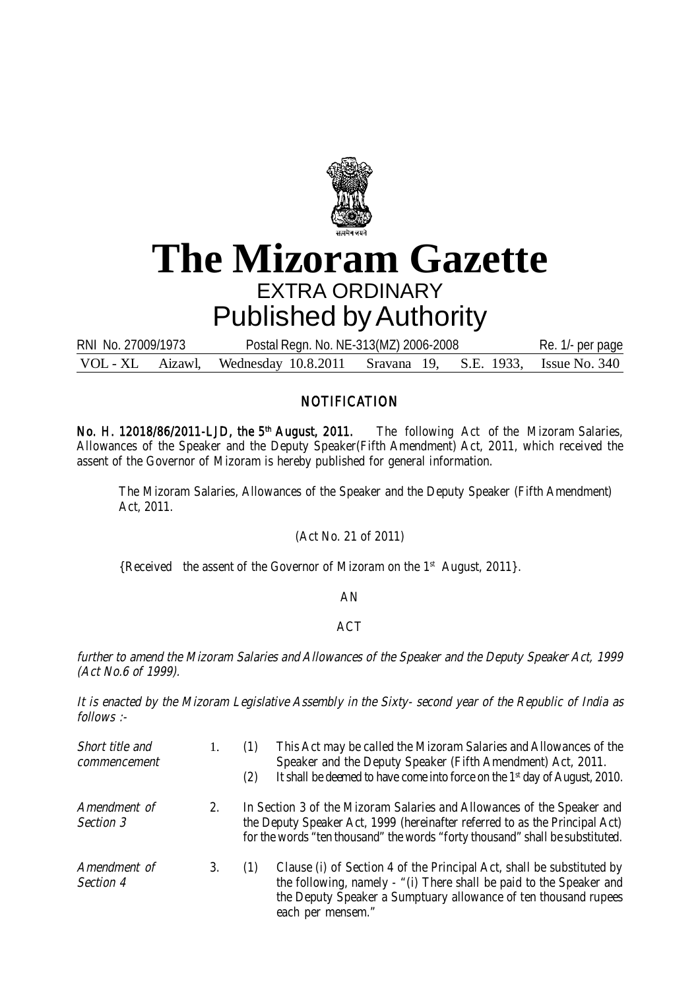

## **The Mizoram Gazette** EXTRA ORDINARY Published by Authority

VOL - XL Aizawl, Wednesday 10.8.2011 Sravana 19, S.E. 1933, Issue No. 340 RNI No. 27009/1973 Postal Regn. No. NE-313(MZ) 2006-2008 Re. 1/- per page

## **NOTIFICATION**

No. H. 12018/86/2011-LJD, the 5<sup>th</sup> August, 2011. The following Act of the Mizoram Salaries, Allowances of the Speaker and the Deputy Speaker(Fifth Amendment) Act, 2011, which received the assent of the Governor of Mizoram is hereby published for general information.

The Mizoram Salaries, Allowances of the Speaker and the Deputy Speaker (Fifth Amendment) Act, 2011.

(Act No. 21 of 2011)

{Received the assent of the Governor of Mizoram on the 1<sup>st</sup> August, 2011}.

AN

## ACT

further to amend the Mizoram Salaries and Allowances of the Speaker and the Deputy Speaker Act, 1999 (Act No.6 of 1999).

It is enacted by the Mizoram Legislative Assembly in the Sixty- second year of the Republic of India as follows :-

| Short title and<br>commencement |         | (1)<br>(2) | This Act may be called the Mizoram Salaries and Allowances of the<br>Speaker and the Deputy Speaker (Fifth Amendment) Act, 2011.<br>It shall be deemed to have come into force on the 1 <sup>st</sup> day of August, 2010.             |
|---------------------------------|---------|------------|----------------------------------------------------------------------------------------------------------------------------------------------------------------------------------------------------------------------------------------|
| Amendment of<br>Section 3       | $2_{1}$ |            | In Section 3 of the Mizoram Salaries and Allowances of the Speaker and<br>the Deputy Speaker Act, 1999 (hereinafter referred to as the Principal Act)<br>for the words "ten thousand" the words "forty thousand" shall be substituted. |
| Amendment of<br>Section 4       | 3.      | (1)        | Clause (i) of Section 4 of the Principal Act, shall be substituted by<br>the following, namely - "(i) There shall be paid to the Speaker and<br>the Deputy Speaker a Sumptuary allowance of ten thousand rupees<br>each per mensem."   |